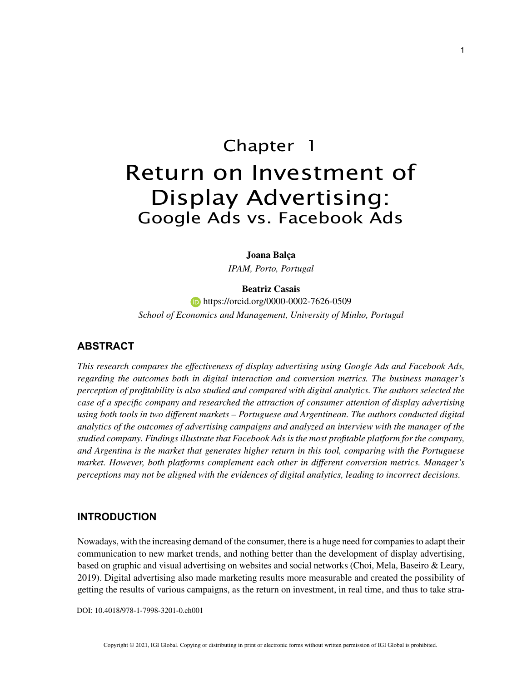# Chapter 1 Return on Investment of Display Advertising: Google Ads vs. Facebook Ads

**Joana Balça**

*IPAM, Porto, Portugal*

#### **Beatriz Casais**

**https://orcid.org/0000-0002-7626-0509** *School of Economics and Management, University of Minho, Portugal*

## **ABSTRACT**

*This research compares the effectiveness of display advertising using Google Ads and Facebook Ads, regarding the outcomes both in digital interaction and conversion metrics. The business manager's perception of profitability is also studied and compared with digital analytics. The authors selected the case of a specific company and researched the attraction of consumer attention of display advertising using both tools in two different markets – Portuguese and Argentinean. The authors conducted digital analytics of the outcomes of advertising campaigns and analyzed an interview with the manager of the studied company. Findings illustrate that Facebook Ads is the most profitable platform for the company, and Argentina is the market that generates higher return in this tool, comparing with the Portuguese market. However, both platforms complement each other in different conversion metrics. Manager's perceptions may not be aligned with the evidences of digital analytics, leading to incorrect decisions.*

## **INTRODUCTION**

Nowadays, with the increasing demand of the consumer, there is a huge need for companies to adapt their communication to new market trends, and nothing better than the development of display advertising, based on graphic and visual advertising on websites and social networks (Choi, Mela, Baseiro & Leary, 2019). Digital advertising also made marketing results more measurable and created the possibility of getting the results of various campaigns, as the return on investment, in real time, and thus to take stra-

DOI: 10.4018/978-1-7998-3201-0.ch001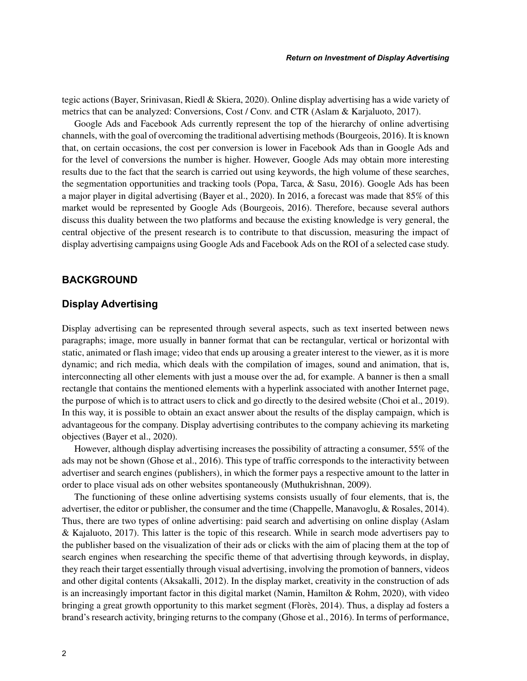tegic actions (Bayer, Srinivasan, Riedl & Skiera, 2020). Online display advertising has a wide variety of metrics that can be analyzed: Conversions, Cost / Conv. and CTR (Aslam & Karjaluoto, 2017).

Google Ads and Facebook Ads currently represent the top of the hierarchy of online advertising channels, with the goal of overcoming the traditional advertising methods (Bourgeois, 2016). It is known that, on certain occasions, the cost per conversion is lower in Facebook Ads than in Google Ads and for the level of conversions the number is higher. However, Google Ads may obtain more interesting results due to the fact that the search is carried out using keywords, the high volume of these searches, the segmentation opportunities and tracking tools (Popa, Tarca, & Sasu, 2016). Google Ads has been a major player in digital advertising (Bayer et al., 2020). In 2016, a forecast was made that 85% of this market would be represented by Google Ads (Bourgeois, 2016). Therefore, because several authors discuss this duality between the two platforms and because the existing knowledge is very general, the central objective of the present research is to contribute to that discussion, measuring the impact of display advertising campaigns using Google Ads and Facebook Ads on the ROI of a selected case study.

## **BACKGROUND**

## **Display Advertising**

Display advertising can be represented through several aspects, such as text inserted between news paragraphs; image, more usually in banner format that can be rectangular, vertical or horizontal with static, animated or flash image; video that ends up arousing a greater interest to the viewer, as it is more dynamic; and rich media, which deals with the compilation of images, sound and animation, that is, interconnecting all other elements with just a mouse over the ad, for example. A banner is then a small rectangle that contains the mentioned elements with a hyperlink associated with another Internet page, the purpose of which is to attract users to click and go directly to the desired website (Choi et al., 2019). In this way, it is possible to obtain an exact answer about the results of the display campaign, which is advantageous for the company. Display advertising contributes to the company achieving its marketing objectives (Bayer et al., 2020).

However, although display advertising increases the possibility of attracting a consumer, 55% of the ads may not be shown (Ghose et al., 2016). This type of traffic corresponds to the interactivity between advertiser and search engines (publishers), in which the former pays a respective amount to the latter in order to place visual ads on other websites spontaneously (Muthukrishnan, 2009).

The functioning of these online advertising systems consists usually of four elements, that is, the advertiser, the editor or publisher, the consumer and the time (Chappelle, Manavoglu, & Rosales, 2014). Thus, there are two types of online advertising: paid search and advertising on online display (Aslam & Kajaluoto, 2017). This latter is the topic of this research. While in search mode advertisers pay to the publisher based on the visualization of their ads or clicks with the aim of placing them at the top of search engines when researching the specific theme of that advertising through keywords, in display, they reach their target essentially through visual advertising, involving the promotion of banners, videos and other digital contents (Aksakalli, 2012). In the display market, creativity in the construction of ads is an increasingly important factor in this digital market (Namin, Hamilton & Rohm, 2020), with video bringing a great growth opportunity to this market segment (Florès, 2014). Thus, a display ad fosters a brand's research activity, bringing returns to the company (Ghose et al., 2016). In terms of performance,